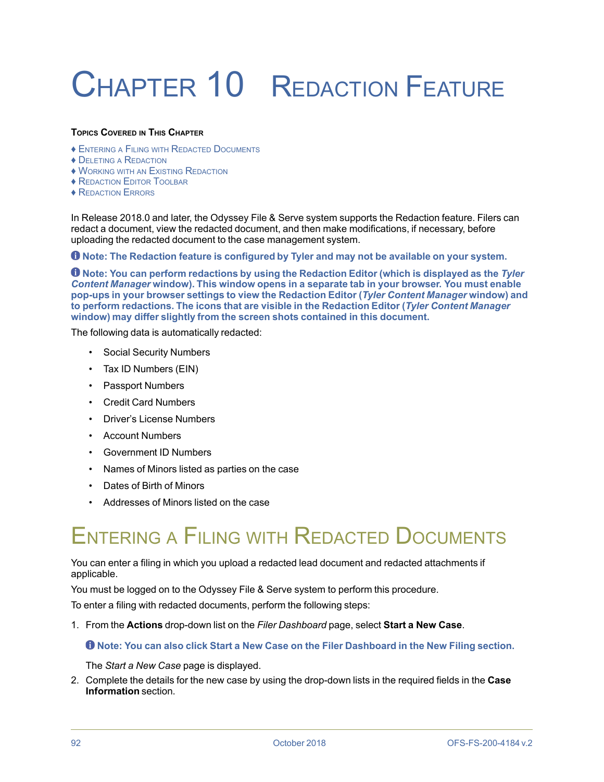# CHAPTER 10 REDACTION FEATURE

#### **TOPICS COVERED IN THIS CHAPTER**

- ♦ ENTERING <sup>A</sup> FILING WITH REDACTED DOCUMENTS
- ♦ DELETING <sup>A</sup> REDACTION
- ♦ WORKING WITH AN EXISTING REDACTION
- ♦ REDACTION EDITOR TOOLBAR
- ♦ REDACTION ERRORS

In Release 2018.0 and later, the Odyssey File & Serve system supports the Redaction feature. Filers can redact a document, view the redacted document, and then make modifications, if necessary, before uploading the redacted document to the case management system.

**Note: The Redaction feature is configured by Tyler and may not be available on your system.**

**Note: You can perform redactions by using the Redaction Editor (which is displayed as the** *Tyler Content Manager* **window). This window opens in a separate tab in your browser. You must enable pop-ups in your browser settings to view the Redaction Editor (***Tyler Content Manager* **window) and to perform redactions. The icons that are visible in the Redaction Editor (***Tyler Content Manager* **window) may differ slightly from the screen shots contained in this document.**

The following data is automatically redacted:

- Social Security Numbers
- Tax ID Numbers (EIN)
- Passport Numbers
- Credit Card Numbers
- Driver's License Numbers
- Account Numbers
- Government ID Numbers
- Names of Minors listed as parties on the case
- Dates of Birth of Minors
- Addresses of Minors listed on the case

# ENTERING <sup>A</sup> FILING WITH REDACTED DOCUMENTS

#### You can enter a filing in which you upload a redacted lead document and redacted attachments if applicable.

You must be logged on to the Odyssey File & Serve system to perform this procedure.

To enter a filing with redacted documents, perform the following steps:

1. From the **Actions** drop-down list on the *Filer Dashboard* page, select **Start a New Case**.

**Note: You can also click Start a New Case on the Filer Dashboard in the New Filing section.**

The *Start a New Case* page is displayed.

2. Complete the details for the new case by using the drop-down lists in the required fields in the **Case Information** section.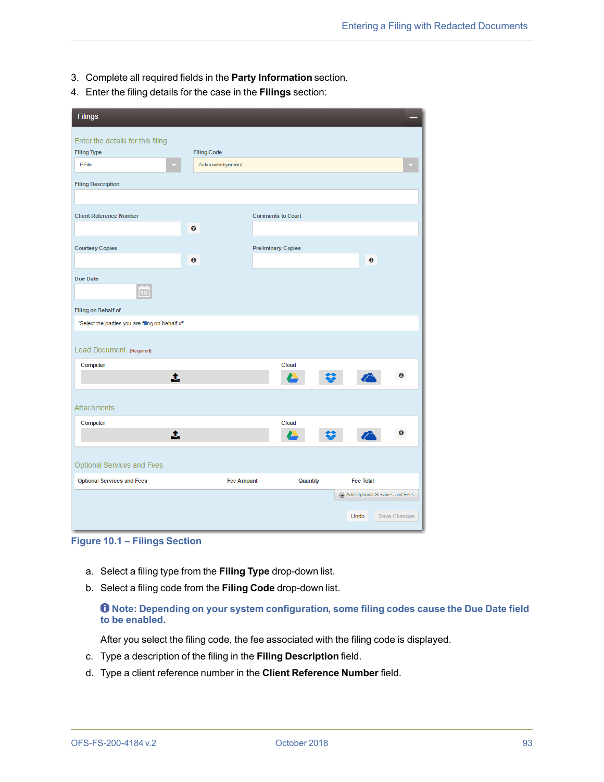- 3. Complete all required fields in the **Party Information** section.
- 4. Enter the filing details for the case in the **Filings** section:

| <b>Filings</b>                                          |                    |                           |                                    |
|---------------------------------------------------------|--------------------|---------------------------|------------------------------------|
| Enter the details for this filing<br><b>Filing Type</b> | <b>Filing Code</b> |                           |                                    |
| EFile                                                   | Acknowledgement    |                           |                                    |
| <b>Filing Description</b>                               |                    |                           |                                    |
|                                                         |                    |                           |                                    |
| <b>Client Reference Number</b>                          |                    | <b>Comments to Court</b>  |                                    |
|                                                         | ❸                  |                           |                                    |
| <b>Courtesy Copies</b>                                  |                    | <b>Preliminary Copies</b> |                                    |
|                                                         | $\mathbf 6$        |                           | $\mathbf 0$                        |
| Due Date                                                |                    |                           |                                    |
| 10                                                      |                    |                           |                                    |
| Filing on Behalf of                                     |                    |                           |                                    |
| 'Select the parties you are filing on behalf of         |                    |                           |                                    |
| Lead Document (Required)                                |                    |                           |                                    |
| Computer                                                |                    | Cloud                     |                                    |
| 土                                                       |                    |                           | 0                                  |
|                                                         |                    |                           |                                    |
| <b>Attachments</b>                                      |                    |                           |                                    |
| Computer                                                |                    | Cloud                     |                                    |
| 土                                                       |                    |                           | 0                                  |
|                                                         |                    |                           |                                    |
| Optional Services and Fees                              |                    |                           |                                    |
| <b>Optional Services and Fees</b>                       | <b>Fee Amount</b>  | Quantity                  | <b>Fee Total</b>                   |
|                                                         |                    |                           | (4) Add Optional Services and Fees |
|                                                         |                    |                           | Undo<br>Save Changes               |

**Figure 10.1 – Filings Section**

- a. Select a filing type from the **Filing Type** drop-down list.
- b. Select a filing code from the **Filing Code** drop-down list.

#### **Note: Depending on your system configuration, some filing codes cause the Due Date field to be enabled.**

After you select the filing code, the fee associated with the filing code is displayed.

- c. Type a description of the filing in the **Filing Description** field.
- d. Type a client reference number in the **Client Reference Number** field.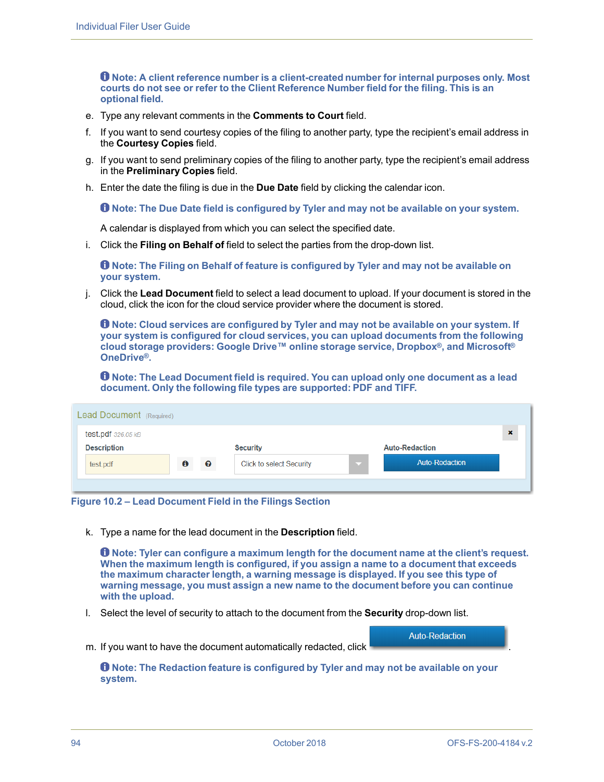**Note: A client reference number is a client-created number for internal purposes only. Most courts do not see or refer to the Client Reference Number field for the filing. This is an optional field.**

- e. Type any relevant comments in the **Comments to Court** field.
- f. If you want to send courtesy copies of the filing to another party, type the recipient's email address in the **Courtesy Copies** field.
- g. If you want to send preliminary copies of the filing to another party, type the recipient's email address in the **Preliminary Copies** field.
- h. Enter the date the filing is due in the **Due Date** field by clicking the calendar icon.

**Note: The Due Date field is configured by Tyler and may not be available on your system.**

A calendar is displayed from which you can select the specified date.

i. Click the **Filing on Behalf of** field to select the parties from the drop-down list.

**Note: The Filing on Behalf of feature is configured by Tyler and may not be available on your system.**

j. Click the **Lead Document** field to select a lead document to upload. If your document is stored in the cloud, click the icon for the cloud service provider where the document is stored.

**Note: Cloud services are configured by Tyler and may not be available on your system. If your system is configured for cloud services, you can upload documents from the following cloud storage providers: Google Drive™ online storage service, Dropbox®, and Microsoft® OneDrive®.**

**Note: The Lead Document field is required. You can upload only one document as a lead document. Only the following file types are supported: PDF and TIFF.**

| Lead Document (Required) |                  |           |                                 |                       |   |  |
|--------------------------|------------------|-----------|---------------------------------|-----------------------|---|--|
| test.pdf $326.05$ $kB$   |                  |           |                                 |                       | × |  |
| <b>Description</b>       |                  |           | <b>Security</b>                 | <b>Auto-Redaction</b> |   |  |
| test.pdf                 | $\bf \bm \theta$ | $\bullet$ | <b>Click to select Security</b> | <b>Auto-Redaction</b> |   |  |
|                          |                  |           |                                 |                       |   |  |

**Figure 10.2 – Lead Document Field in the Filings Section**

k. Type a name for the lead document in the **Description** field.

**Note: Tyler can configure a maximum length for the document name at the client's request. When the maximum length is configured, if you assign a name to a document that exceeds the maximum character length, a warning message is displayed. If you see this type of warning message, you must assign a new name to the document before you can continue with the upload.**

l. Select the level of security to attach to the document from the **Security** drop-down list.

**Auto-Redaction** 

m. If you want to have the document automatically redacted, click

**Note: The Redaction feature is configured by Tyler and may not be available on your system.**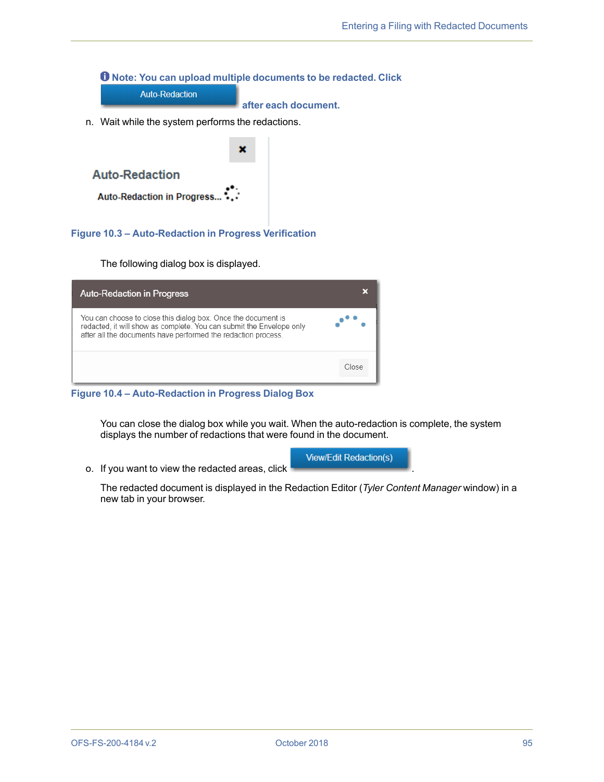**Note: You can upload multiple documents to be redacted. Click**

**Auto-Redaction** 

**after each document.**

n. Wait while the system performs the redactions.



**Figure 10.3 – Auto-Redaction in Progress Verification**

The following dialog box is displayed.

| <b>Auto-Redaction in Progress</b>                                                                                                                                                                      |       |
|--------------------------------------------------------------------------------------------------------------------------------------------------------------------------------------------------------|-------|
| You can choose to close this dialog box. Once the document is<br>redacted, it will show as complete. You can submit the Envelope only<br>after all the documents have performed the redaction process. |       |
|                                                                                                                                                                                                        | Close |

**Figure 10.4 – Auto-Redaction in Progress Dialog Box**

You can close the dialog box while you wait. When the auto-redaction is complete, the system displays the number of redactions that were found in the document.

o. If you want to view the redacted areas, click

**View/Edit Redaction(s)** 

The redacted document is displayed in the Redaction Editor (*Tyler Content Manager* window) in a new tab in your browser.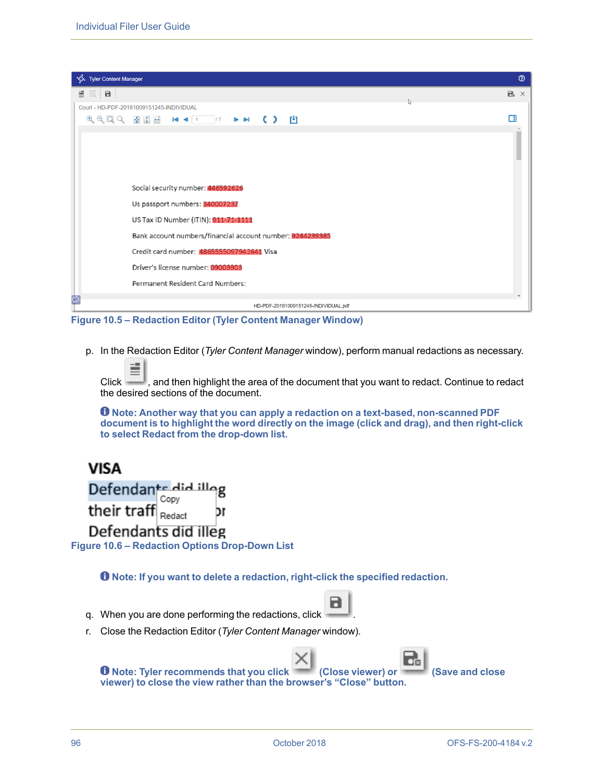

**Figure 10.5 – Redaction Editor (Tyler Content Manager Window)**

p. In the Redaction Editor (*Tyler Content Manager* window), perform manual redactions as necessary.

Click  $\Box$ , and then highlight the area of the document that you want to redact. Continue to redact the desired sections of the document.

**Note: Another way that you can apply a redaction on a text-based, non-scanned PDF document is to highlight the word directly on the image (click and drag), and then right-click to select Redact from the drop-down list.**

#### **VISA** Defendants did illog Copy their traff  $\left| \frac{C_{\text{opt}}}{\text{Redact}} \right|$ ٦r Defendants did illeg **Figure 10.6 – Redaction Options Drop-Down List**

**Note: If you want to delete a redaction, right-click the specified redaction.**

- q. When you are done performing the redactions, click
- r. Close the Redaction Editor (*Tyler Content Manager* window).

|                                                                     |  | $E_{\rm B}$ |                |
|---------------------------------------------------------------------|--|-------------|----------------|
| <b>O</b> Note: Tyler recommends that you click (Close viewer) or    |  |             | Save and close |
| viewer) to close the view rather than the browser's "Close" button. |  |             |                |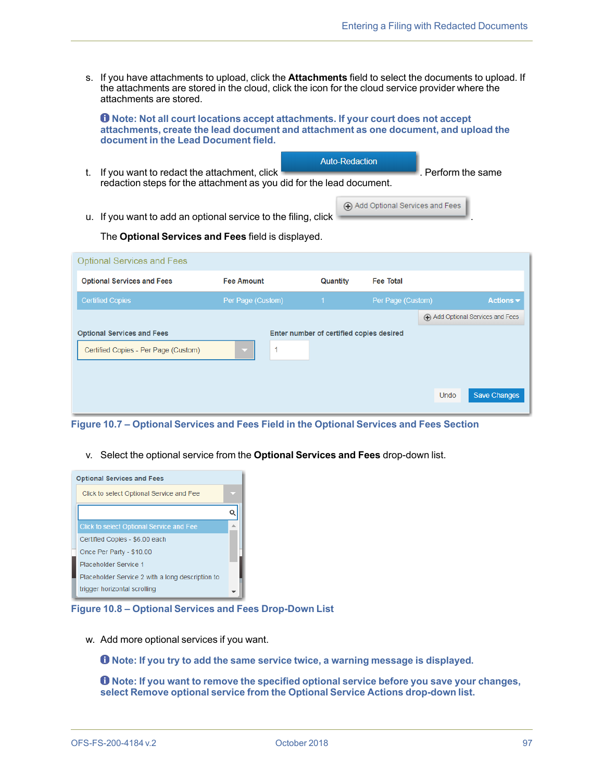s. If you have attachments to upload, click the **Attachments** field to select the documents to upload. If the attachments are stored in the cloud, click the icon for the cloud service provider where the attachments are stored.

**Note: Not all court locations accept attachments. If your court does not accept attachments, create the lead document and attachment as one document, and upload the document in the Lead Document field.**

**Auto-Redaction** 

- t. If you want to redact the attachment, click **Example 2008** Perform the same redaction steps for the attachment as you did for the lead document.
- u. If you want to add an optional service to the filing, click

Add Optional Services and Fees

The **Optional Services and Fees** field is displayed.

| <b>Optional Services and Fees</b>    |                   |          |                                          |             |                                |
|--------------------------------------|-------------------|----------|------------------------------------------|-------------|--------------------------------|
| <b>Optional Services and Fees</b>    | <b>Fee Amount</b> | Quantity | <b>Fee Total</b>                         |             |                                |
| <b>Certified Copies</b>              | Per Page (Custom) | 41       | Per Page (Custom)                        |             | Actions $\blacktriangledown$   |
|                                      |                   |          |                                          |             | Add Optional Services and Fees |
| <b>Optional Services and Fees</b>    |                   |          | Enter number of certified copies desired |             |                                |
| Certified Copies - Per Page (Custom) |                   |          |                                          |             |                                |
|                                      |                   |          |                                          |             |                                |
|                                      |                   |          |                                          | <b>Undo</b> | <b>Save Changes</b>            |
|                                      |                   |          |                                          |             |                                |

**Figure 10.7 – Optional Services and Fees Field in the Optional Services and Fees Section**

v. Select the optional service from the **Optional Services and Fees** drop-down list.



**Figure 10.8 – Optional Services and Fees Drop-Down List**

w. Add more optional services if you want.

**Note: If you try to add the same service twice, a warning message is displayed.**

**Note: If you want to remove the specified optional service before you save your changes, select Remove optional service from the Optional Service Actions drop-down list.**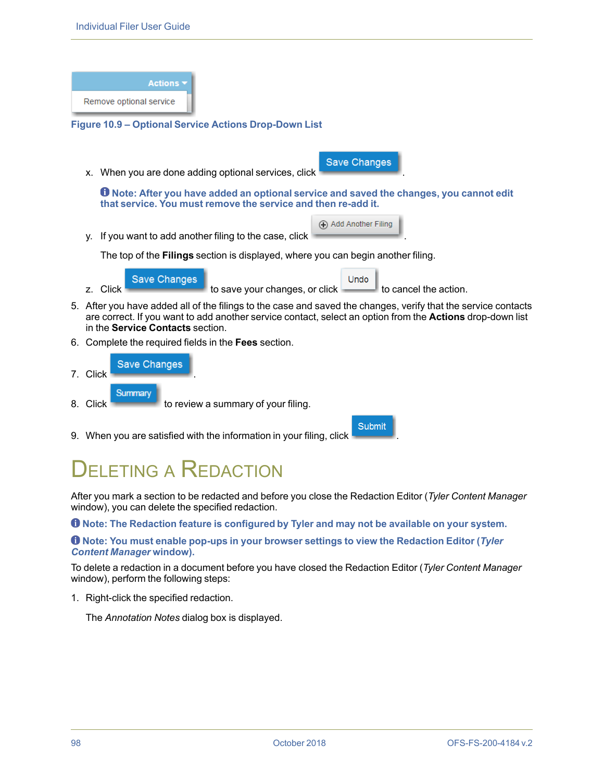**Actions** Remove optional service **Figure 10.9 – Optional Service Actions Drop-Down List Save Changes** x. When you are done adding optional services, click . **Note: After you have added an optional service and saved the changes, you cannot edit that service. You must remove the service and then re-add it.** Add Another Filing y. If you want to add another filing to the case, click The top of the **Filings** section is displayed, where you can begin another filing. **Save Changes** Undo z. Click  $\sim$  to save your changes, or click  $\sim$  to cancel the action. 5. After you have added all of the filings to the case and saved the changes, verify that the service contacts are correct. If you want to add another service contact, select an option from the **Actions** drop-down list in the **Service Contacts** section. 6. Complete the required fields in the **Fees** section. **Save Changes** 7. Click . Summary 8. Click to review a summary of your filing. Submit 9. When you are satisfied with the information in your filing, click .

### FI FTING A REDACTION

After you mark a section to be redacted and before you close the Redaction Editor (*Tyler Content Manager* window), you can delete the specified redaction.

**Note: The Redaction feature is configured by Tyler and may not be available on your system.**

#### **Note: You must enable pop-ups in your browser settings to view the Redaction Editor (***Tyler Content Manager* **window).**

To delete a redaction in a document before you have closed the Redaction Editor (*Tyler Content Manager* window), perform the following steps:

1. Right-click the specified redaction.

The *Annotation Notes* dialog box is displayed.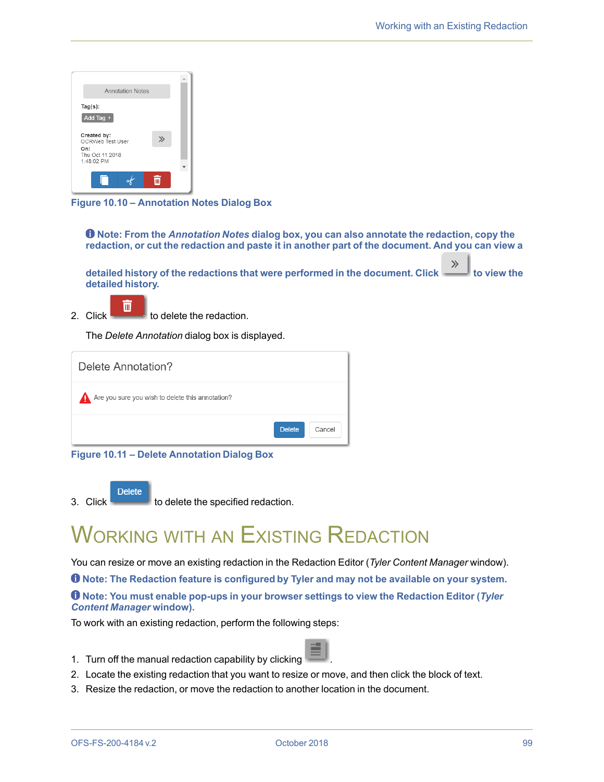

**Figure 10.10 – Annotation Notes Dialog Box**

**Note: From the** *Annotation Notes* **dialog box, you can also annotate the redaction, copy the** redaction, or cut the redaction and paste it in another part of the document. And you can view a

 $\gg$ **detailed history of the redactions that were performed in the document. Click to view the detailed history.**

 $\overline{\mathbb{m}}$ 2. Click  $\begin{array}{c} 2 \end{array}$  to delete the redaction.

The *Delete Annotation* dialog box is displayed.

| Delete Annotation?                                     |                         |
|--------------------------------------------------------|-------------------------|
| Are you sure you wish to delete this annotation?<br>41 |                         |
|                                                        | <b>Delete</b><br>Cancel |

**Figure 10.11 – Delete Annotation Dialog Box**

**Delete**  $3.$  Click  $\sim$  to delete the specified redaction.

## **WORKING WITH AN EXISTING REDACTION**

You can resize or move an existing redaction in the Redaction Editor (*Tyler Content Manager* window).

**Note: The Redaction feature is configured by Tyler and may not be available on your system.**

**Note: You must enable pop-ups in your browser settings to view the Redaction Editor (***Tyler Content Manager* **window).**

To work with an existing redaction, perform the following steps:

- 1. Turn off the manual redaction capability by clicking .
- 2. Locate the existing redaction that you want to resize or move, and then click the block of text.
- 3. Resize the redaction, or move the redaction to another location in the document.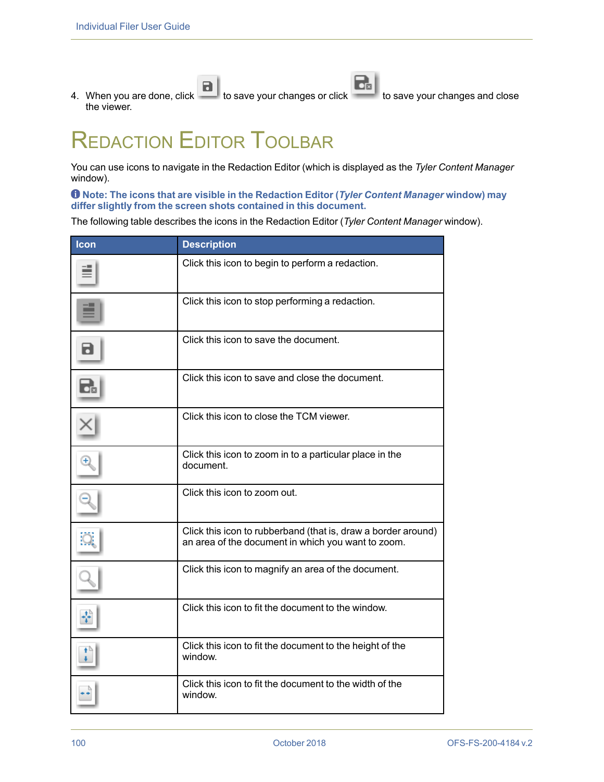$\mathbf{E}$  $\blacksquare$ 4. When you are done, click to save your changes or click to save your changes and close the viewer.

# REDACTION EDITOR TOOLBAR

You can use icons to navigate in the Redaction Editor (which is displayed as the *Tyler Content Manager* window).

#### **Note: The icons that are visible in the Redaction Editor (***Tyler Content Manager* **window) may differ slightly from the screen shots contained in this document.**

The following table describes the icons in the Redaction Editor (*Tyler Content Manager* window).

| Icon | <b>Description</b>                                                                                                  |
|------|---------------------------------------------------------------------------------------------------------------------|
|      | Click this icon to begin to perform a redaction.                                                                    |
|      | Click this icon to stop performing a redaction.                                                                     |
| 6    | Click this icon to save the document.                                                                               |
| ਰੇ   | Click this icon to save and close the document.                                                                     |
|      | Click this icon to close the TCM viewer.                                                                            |
|      | Click this icon to zoom in to a particular place in the<br>document.                                                |
|      | Click this icon to zoom out.                                                                                        |
|      | Click this icon to rubberband (that is, draw a border around)<br>an area of the document in which you want to zoom. |
|      | Click this icon to magnify an area of the document.                                                                 |
|      | Click this icon to fit the document to the window.                                                                  |
|      | Click this icon to fit the document to the height of the<br>window.                                                 |
|      | Click this icon to fit the document to the width of the<br>window.                                                  |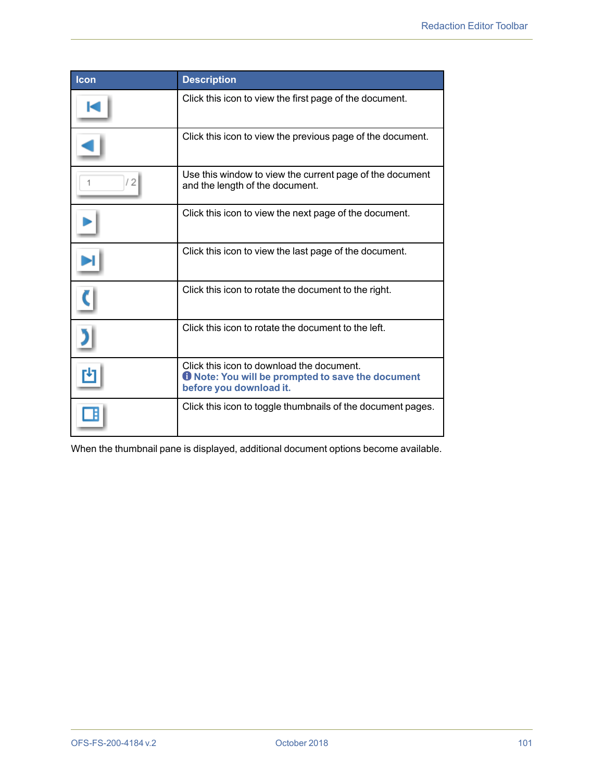| <b>Icon</b> | <b>Description</b>                                                                                                               |
|-------------|----------------------------------------------------------------------------------------------------------------------------------|
|             | Click this icon to view the first page of the document.                                                                          |
|             | Click this icon to view the previous page of the document.                                                                       |
| / 2         | Use this window to view the current page of the document<br>and the length of the document.                                      |
|             | Click this icon to view the next page of the document.                                                                           |
|             | Click this icon to view the last page of the document.                                                                           |
|             | Click this icon to rotate the document to the right.                                                                             |
|             | Click this icon to rotate the document to the left.                                                                              |
|             | Click this icon to download the document.<br><b>O</b> Note: You will be prompted to save the document<br>before you download it. |
|             | Click this icon to toggle thumbnails of the document pages.                                                                      |

When the thumbnail pane is displayed, additional document options become available.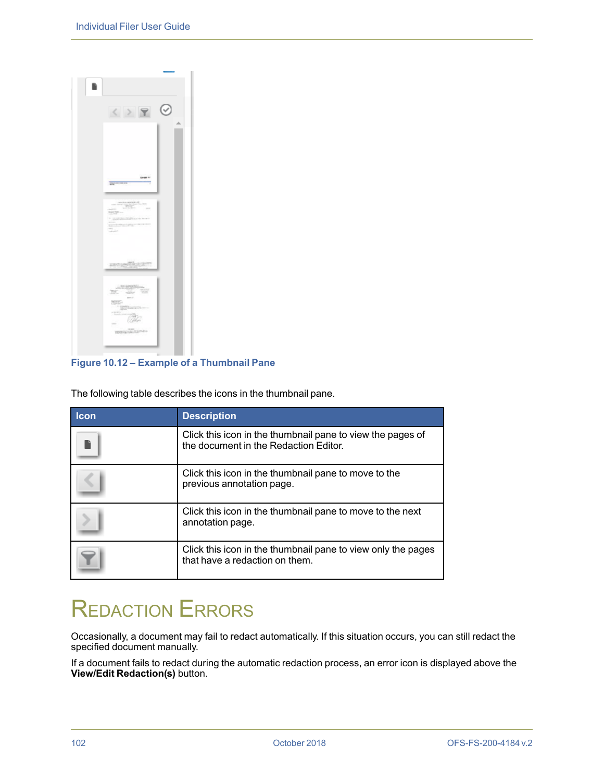| $\langle \rangle$ $\gamma$ $\odot$                                                                                                                                                                                                              | ۸ |
|-------------------------------------------------------------------------------------------------------------------------------------------------------------------------------------------------------------------------------------------------|---|
| <b>SHARF V</b><br>payments on<br>$\begin{split} \underbrace{\text{matrix} \text{argmax}(\mathbf{r})}_{\text{max}(\mathbf{r})} = \mathbf{r} \end{split}$<br><b>STATE</b><br>NOTE<br>· managements<br>÷<br><b>CONTRACTOR</b><br><br>man and state |   |
| <b><i><u>SECURITIES CONT</u></i></b><br>intergration.<br>The site of                                                                                                                                                                            |   |
| 072<br>J.<br><b>TESTANGINES</b>                                                                                                                                                                                                                 |   |

#### **Figure 10.12 – Example of a Thumbnail Pane**

The following table describes the icons in the thumbnail pane.

| <b>Icon</b> | <b>Description</b>                                                                                  |
|-------------|-----------------------------------------------------------------------------------------------------|
|             | Click this icon in the thumbnail pane to view the pages of<br>the document in the Redaction Editor. |
|             | Click this icon in the thumbnail pane to move to the<br>previous annotation page.                   |
|             | Click this icon in the thumbnail pane to move to the next<br>annotation page.                       |
|             | Click this icon in the thumbnail pane to view only the pages<br>that have a redaction on them.      |

# REDACTION ERRORS

Occasionally, a document may fail to redact automatically. If this situation occurs, you can still redact the specified document manually.

If a document fails to redact during the automatic redaction process, an error icon is displayed above the **View/Edit Redaction(s)** button.